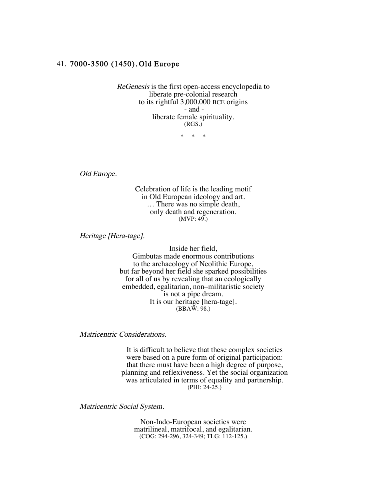## 41. 7000-3500 (1450), Old Europe

ReGenesis is the first open-access encyclopedia to liberate pre-colonial research to its rightful 3,000,000 BCE origins - and liberate female spirituality. (RGS.)

\* \* \*

Old Europe.

Celebration of life is the leading motif in Old European ideology and art. … There was no simple death, only death and regeneration.  $(MVP: 49.)$ 

Heritage [Hera-tage].

Inside her field, Gimbutas made enormous contributions to the archaeology of Neolithic Europe, but far beyond her field she sparked possibilities for all of us by revealing that an ecologically embedded, egalitarian, non–militaristic society is not a pipe dream. It is our heritage [hera-tage]. (BBAW: 98.)

Matricentric Considerations.

It is difficult to believe that these complex societies were based on a pure form of original participation: that there must have been a high degree of purpose, planning and reflexiveness. Yet the social organization was articulated in terms of equality and partnership. (PHI: 24-25.)

Matricentric Social System.

Non-Indo-European societies were matrilineal, matrifocal, and egalitarian. (COG: 294-296, 324-349; TLG: 112-125.)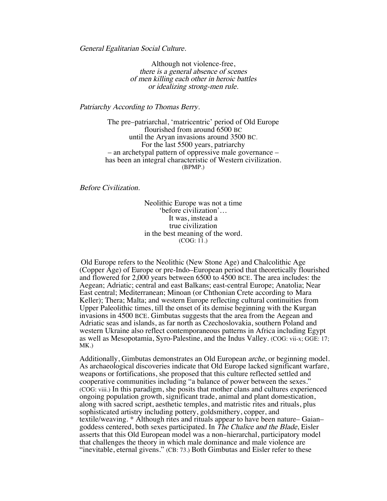General Egalitarian Social Culture.

Although not violence-free, there is a general absence of scenes of men killing each other in heroic battles or idealizing strong-men rule.

Patriarchy According to Thomas Berry.

The pre–patriarchal, 'matricentric' period of Old Europe flourished from around 6500 BC until the Aryan invasions around 3500 BC. For the last 5500 years, patriarchy – an archetypal pattern of oppressive male governance – has been an integral characteristic of Western civilization. (BPMP.)

Before Civilization.

Neolithic Europe was not a time 'before civilization'… It was, instead a true civilization in the best meaning of the word. (COG: 11.)

Old Europe refers to the Neolithic (New Stone Age) and Chalcolithic Age (Copper Age) of Europe or pre-Indo–European period that theoretically flourished and flowered for 2,000 years between 6500 to 4500 BCE. The area includes: the Aegean; Adriatic; central and east Balkans; east-central Europe; Anatolia; Near East central; Mediterranean; Minoan (or Chthonian Crete according to Mara Keller); Thera; Malta; and western Europe reflecting cultural continuities from Upper Paleolithic times, till the onset of its demise beginning with the Kurgan invasions in 4500 BCE. Gimbutas suggests that the area from the Aegean and Adriatic seas and islands, as far north as Czechoslovakia, southern Poland and western Ukraine also reflect contemporaneous patterns in Africa including Egypt as well as Mesopotamia, Syro-Palestine, and the Indus Valley. (COG: vii-x; GGE: 17; MK.)

Additionally, Gimbutas demonstrates an Old European arche, or beginning model. As archaeological discoveries indicate that Old Europe lacked significant warfare, weapons or fortifications, she proposed that this culture reflected settled and cooperative communities including "a balance of power between the sexes." (COG: viii.) In this paradigm, she posits that mother clans and cultures experienced ongoing population growth, significant trade, animal and plant domestication, along with sacred script, aesthetic temples, and matristic rites and rituals, plus sophisticated artistry including pottery, goldsmithery, copper, and textile/weaving. \* Although rites and rituals appear to have been nature– Gaian– goddess centered, both sexes participated. In The Chalice and the Blade, Eisler asserts that this Old European model was a non–hierarchal, participatory model that challenges the theory in which male dominance and male violence are "inevitable, eternal givens." (CB: 73.) Both Gimbutas and Eisler refer to these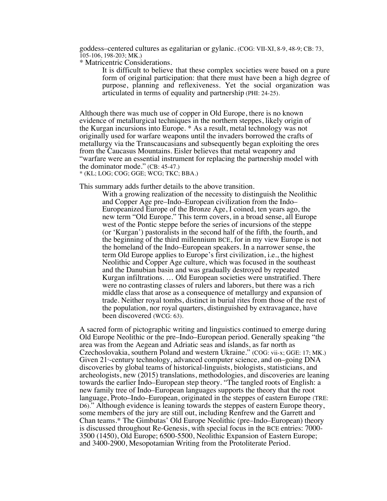goddess–centered cultures as egalitarian or gylanic. (COG: VII-XI, 8-9, 48-9; CB: 73, 105-106, 198-203; MK.)

\* Matricentric Considerations.

It is difficult to believe that these complex societies were based on a pure form of original participation: that there must have been a high degree of purpose, planning and reflexiveness. Yet the social organization was articulated in terms of equality and partnership (PHI: 24-25).

Although there was much use of copper in Old Europe, there is no known evidence of metallurgical techniques in the northern steppes, likely origin of the Kurgan incursions into Europe. \* As a result, metal technology was not originally used for warfare weapons until the invaders borrowed the crafts of metallurgy via the Transcaucasians and subsequently began exploiting the ores from the Caucasus Mountains. Eisler believes that metal weaponry and "warfare were an essential instrument for replacing the partnership model with the dominator mode." (CB: 45-47.)

\* (KL; LOG; COG; GGE; WCG; TKC; BBA.)

This summary adds further details to the above transition.

With a growing realization of the necessity to distinguish the Neolithic and Copper Age pre–Indo–European civilization from the Indo– Europeanized Europe of the Bronze Age, I coined, ten years ago, the new term "Old Europe." This term covers, in a broad sense, all Europe west of the Pontic steppe before the series of incursions of the steppe (or 'Kurgan') pastoralists in the second half of the fifth, the fourth, and the beginning of the third millennium BCE, for in my view Europe is not the homeland of the Indo–European speakers. In a narrower sense, the term Old Europe applies to Europe's first civilization, i.e., the highest Neolithic and Copper Age culture, which was focused in the southeast and the Danubian basin and was gradually destroyed by repeated Kurgan infiltrations. … Old European societies were unstratified. There were no contrasting classes of rulers and laborers, but there was a rich middle class that arose as a consequence of metallurgy and expansion of trade. Neither royal tombs, distinct in burial rites from those of the rest of the population, nor royal quarters, distinguished by extravagance, have been discovered (WCG: 63).

A sacred form of pictographic writing and linguistics continued to emerge during Old Europe Neolithic or the pre–Indo–European period. Generally speaking "the area was from the Aegean and Adriatic seas and islands, as far north as Czechoslovakia, southern Poland and western Ukraine." (COG: vii-x; GGE: 17; MK.) Given 21<sup>\*</sup>-century technology, advanced computer science, and on–going DNA discoveries by global teams of historical-linguists, biologists, statisticians, and archeologists, new (2015) translations, methodologies, and discoveries are leaning towards the earlier Indo–European step theory. "The tangled roots of English: a new family tree of Indo–European languages supports the theory that the root language, Proto–Indo–European, originated in the steppes of eastern Europe (TRE: D6)." Although evidence is leaning towards the steppes of eastern Europe theory, some members of the jury are still out, including Renfrew and the Garrett and Chan teams.\* The Gimbutas' Old Europe Neolithic (pre–Indo–European) theory is discussed throughout Re-Genesis, with special focus in the BCE entries: 7000- 3500 (1450), Old Europe; 6500-5500, Neolithic Expansion of Eastern Europe; and 3400-2900, Mesopotamian Writing from the Protoliterate Period.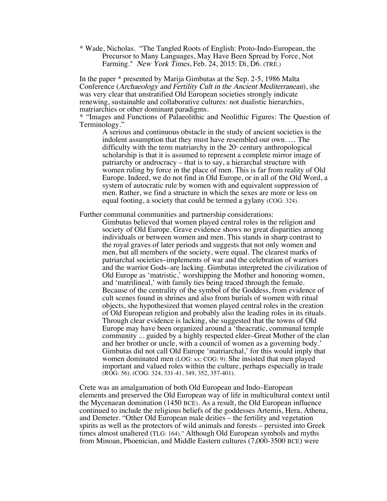\* Wade, Nicholas. "The Tangled Roots of English: Proto-Indo-European, the Precursor to Many Languages, May Have Been Spread by Force, Not Farming." New York Times, Feb. 24, 2015: Di, D6. (TRE.)

In the paper \* presented by Marija Gimbutas at the Sep. 2-5, 1986 Malta Conference (Archaeology and Fertility Cult in the Ancient Mediterranean), she was very clear that unstratified Old European societies strongly indicate renewing, sustainable and collaborative cultures: not dualistic hierarchies, matriarchies or other dominant paradigms.

\* "Images and Functions of Palaeolithic and Neolithic Figures: The Question of Terminology."

A serious and continuous obstacle in the study of ancient societies is the indolent assumption that they must have resembled our own. … The difficulty with the term matriarchy in the  $20<sup>*</sup>$  century anthropological scholarship is that it is assumed to represent a complete mirror image of patriarchy or androcracy – that is to say, a hierarchal structure with women ruling by force in the place of men. This is far from reality of Old Europe. Indeed, we do not find in Old Europe, or in all of the Old Word, a system of autocratic rule by women with and equivalent suppression of men. Rather, we find a structure in which the sexes are more or less on equal footing, a society that could be termed a gylany (COG: 324).

Further communal communities and partnership considerations:

Gimbutas believed that women played central roles in the religion and society of Old Europe. Grave evidence shows no great disparities among individuals or between women and men. This stands in sharp contrast to the royal graves of later periods and suggests that not only women and men, but all members of the society, were equal. The clearest marks of patriarchal societies–implements of war and the celebration of warriors and the warrior Gods–are lacking. Gimbutas interpreted the civilization of Old Europe as 'matristic,' worshipping the Mother and honoring women, and 'matrilineal,' with family ties being traced through the female. Because of the centrality of the symbol of the Goddess, from evidence of cult scenes found in shrines and also from burials of women with ritual objects, she hypothesized that women played central roles in the creation of Old European religion and probably also the leading roles in its rituals. Through clear evidence is lacking, she suggested that the towns of Old Europe may have been organized around a 'theacratic, communal temple community ... guided by a highly respected elder–Great Mother of the clan and her brother or uncle, with a council of women as a governing body.' Gimbutas did not call Old Europe 'matriarchal,' for this would imply that women dominated men (LOG: xx; COG: 9). She insisted that men played important and valued roles within the culture, perhaps especially in trade (ROG: 56). (COG: 324, 331-41, 349, 352, 357-401).

Crete was an amalgamation of both Old European and Indo–European elements and preserved the Old European way of life in multicultural context until the Mycenaean domination (1450 BCE). As a result, the Old European influence continued to include the religious beliefs of the goddesses Artemis, Hera, Athena, and Demeter. "Other Old European male deities – the fertility and vegetation spirits as well as the protectors of wild animals and forests – persisted into Greek times almost unaltered (TLG: 164)." Although Old European symbols and myths from Minoan, Phoenician, and Middle Eastern cultures (7,000-3500 BCE) were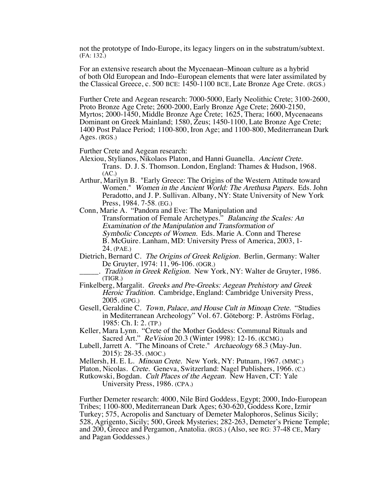not the prototype of Indo-Europe, its legacy lingers on in the substratum/subtext. (FA: 132.)

For an extensive research about the Mycenaean–Minoan culture as a hybrid of both Old European and Indo–European elements that were later assimilated by the Classical Greece, c. 500 BCE: 1450-1100 BCE, Late Bronze Age Crete. (RGS.)

Further Crete and Aegean research: 7000-5000, Early Neolithic Crete; 3100-2600, Proto Bronze Age Crete; 2600-2000, Early Bronze Age Crete; 2600-2150, Myrtos; 2000-1450, Middle Bronze Age Crete; 1625, Thera; 1600, Mycenaeans Dominant on Greek Mainland; 1580, Zeus; 1450-1100, Late Bronze Age Crete; 1400 Post Palace Period; 1100-800, Iron Age; and 1100-800, Mediterranean Dark Ages. (RGS.)

Further Crete and Aegean research:

- Alexiou, Stylianos, Nikolaos Platon, and Hanni Guanella. Ancient Crete. Trans. D. J. S. Thomson. London, England: Thames & Hudson, 1968.  $(AC.)$
- Arthur, Marilyn B. "Early Greece: The Origins of the Western Attitude toward Women." Women in the Ancient World: The Arethusa Papers. Eds. John Peradotto, and J. P. Sullivan. Albany, NY: State University of New York Press, 1984. 7-58. (EG.)
- Conn, Marie A. "Pandora and Eve: The Manipulation and Transformation of Female Archetypes." Balancing the Scales: An Examination of the Manipulation and Transformation of Symbolic Concepts of Women. Eds. Marie A. Conn and Therese B. McGuire. Lanham, MD: University Press of America, 2003, 1- 24. (PAE.)
- Dietrich, Bernard C. The Origins of Greek Religion. Berlin, Germany: Walter De Gruyter, 1974: 11, 96-106. (OGR.)
- . Tradition in Greek Religion. New York, NY: Walter de Gruyter, 1986. (TIGR.)
- Finkelberg, Margalit. Greeks and Pre-Greeks: Aegean Prehistory and Greek Heroic Tradition. Cambridge, England: Cambridge University Press, 2005. (GPG.)
- Gesell, Geraldine C. Town, Palace, and House Cult in Minoan Crete. "Studies in Mediterranean Archeology" Vol. 67. Göteborg: P. Åströms Förlag, 1985: Ch. I: 2. (TP.)
- Keller, Mara Lynn. "Crete of the Mother Goddess: Communal Rituals and Sacred Art." ReVision 20.3 (Winter 1998): 12-16. (KCMG.)
- Lubell, Jarrett A. "The Minoans of Crete." Archaeology 68.3 (May-Jun. 2015): 28-35. (MOC.)
- Mellersh, H. E. L. Minoan Crete. New York, NY: Putnam, 1967. (MMC.)

Platon, Nicolas. Crete. Geneva, Switzerland: Nagel Publishers, 1966. (C.)

Rutkowski, Bogdan. Cult Places of the Aegean. New Haven, CT: Yale University Press, 1986. (CPA.)

Further Demeter research: 4000, Nile Bird Goddess, Egypt; 2000, Indo-European Tribes; 1100-800, Mediterranean Dark Ages; 630-620, Goddess Kore, Izmir Turkey; 575, Acropolis and Sanctuary of Demeter Malophoros, Selinus Sicily; 528, Agrigento, Sicily; 500, Greek Mysteries; 282-263, Demeter's Priene Temple; and 200, Greece and Pergamon, Anatolia. (RGS.) (Also, see RG: 37-48 CE, Mary and Pagan Goddesses.)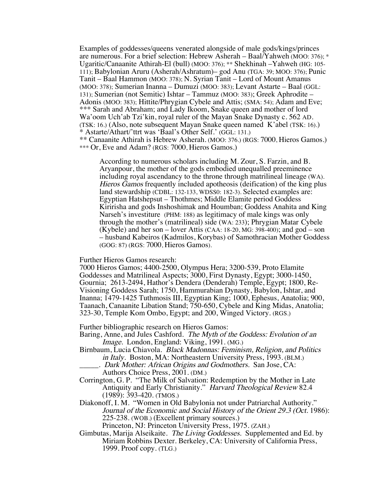Examples of goddesses/queens venerated alongside of male gods/kings/princes are numerous. For a brief selection: Hebrew Asherah – Baal/Yahweh (MOO: 376); \* Ugaritic/Canaanite Athirah-El (bull) (MOO: 376); \*\* Shekhinah –Yahweh (HG: 105- 111); Babylonian Aruru (Asherah/Ashratum)– god Anu (TGA: 39; MOO: 376); Punic Tanit – Baal Hammon (MOO: 378); N. Syrian Tanit – Lord of Mount Amanus (MOO: 378); Sumerian Inanna – Dumuzi (MOO: 383); Levant Astarte – Baal (GGL: 131); Sumerian (not Semitic) Ishtar – Tammuz (MOO: 383); Greek Aphrodite – Adonis (MOO: 383); Hittite/Phrygian Cybele and Attis; (SMA: 54); Adam and Eve; \*\*\* Sarah and Abraham; and Lady Ikoom, Snake queen and mother of lord Wa'oom Uch'ab Tzi'kin, royal ruler of the Mayan Snake Dynasty c. 562 AD. (TSK: 16.) (Also, note subsequent Mayan Snake queen named K'abel (TSK: 16).) \* Astarte/Athart/'ttrt was 'Baal's Other Self.' (GGL: 131.) \*\* Canaanite Athirah is Hebrew Asherah. (MOO: 376.) (RGS: 7000, Hieros Gamos.) \*\*\* Or, Eve and Adam? (RGS: 7000, Hieros Gamos.)

According to numerous scholars including M. Zour, S. Farzin, and B. Aryanpour, the mother of the gods embodied unequalled preeminence including royal ascendancy to the throne through matrilineal lineage (WA). Hieros Gamos frequently included apotheosis (deification) of the king plus land stewardship (CDBL: 132-133, WDSS0: 182-3). Selected examples are: Egyptian Hatshepsut – Thothmes; Middle Elamite period Goddess Kiririsha and gods Inshoshimak and Houmban; Goddess Anahita and King Narseh's investiture (PHM: 188) as legitimacy of male kings was only through the mother's (matrilineal) side (WA: 233); Phrygian Matar Cybele (Kybele) and her son – lover Attis (CAA:  $18-20$ , MG: 398-400); and god – son – husband Kabeiros (Kadmilos, Korybas) of Samothracian Mother Goddess (GOG: 87) (RGS: 7000, Hieros Gamos).

Further Hieros Gamos research:

7000 Hieros Gamos; 4400-2500, Olympus Hera; 3200-539, Proto Elamite Goddesses and Matrilineal Aspects; 3000, First Dynasty, Egypt; 3000-1450, Gournia; 2613-2494, Hathor's Dendera (Denderah) Temple, Egypt; 1800, Re-Visioning Goddess Sarah; 1750, Hammurabian Dynasty, Babylon, Ishtar, and Inanna; 1479-1425 Tuthmosis III, Egyptian King; 1000, Ephesus, Anatolia; 900, Taanach, Canaanite Libation Stand; 750-650, Cybele and King Midas, Anatolia; 323-30, Temple Kom Ombo, Egypt; and 200, Winged Victory. (RGS.)

Further bibliographic research on Hieros Gamos:

- Baring, Anne, and Jules Cashford. The Myth of the Goddess: Evolution of an Image. London, England: Viking, 1991. (MG.)
- Birnbaum, Lucia Chiavola. Black Madonnas: Feminism, Religion, and Politics in Italy. Boston, MA: Northeastern University Press, 1993. (BLM.) \_\_\_\_\_. Dark Mother: African Origins and Godmothers. San Jose, CA:
	- Authors Choice Press, 2001. (DM.)
- Corrington, G. P. "The Milk of Salvation: Redemption by the Mother in Late Antiquity and Early Christianity." Harvard Theological Review 82.4 (1989): 393-420. (TMOS.)
- Diakonoff, I. M. "Women in Old Babylonia not under Patriarchal Authority." Journal of the Economic and Social History of the Orient 29.3 (Oct. 1986): 225-238. (WOB.) (Excellent primary sources.)

Princeton, NJ: Princeton University Press, 1975. (ZAH.)

Gimbutas, Marija Alseikaite. The Living Goddesses. Supplemented and Ed. by Miriam Robbins Dexter. Berkeley, CA: University of California Press, 1999. Proof copy. (TLG.)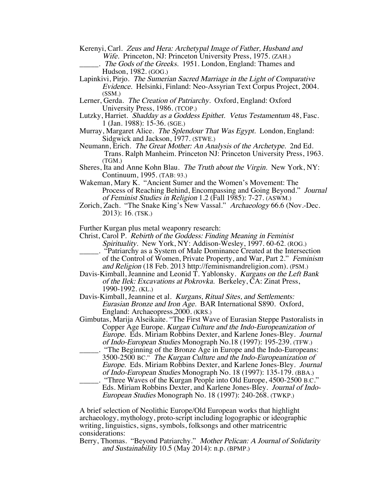- Kerenyi, Carl. Zeus and Hera: Archetypal Image of Father, Husband and Wife. Princeton, NJ: Princeton University Press, 1975. (ZAH.)
	- . The Gods of the Greeks. 1951. London, England: Thames and Hudson, 1982. (GOG.)
- Lapinkivi, Pirjo. The Sumerian Sacred Marriage in the Light of Comparative Evidence. Helsinki, Finland: Neo-Assyrian Text Corpus Project, 2004. (SSM.)

Lerner, Gerda. The Creation of Patriarchy. Oxford, England: Oxford University Press, 1986. (TCOP.)

- Lutzky, Harriet. Shadday as a Goddess Epithet. Vetus Testamentum 48, Fasc. 1 (Jan. 1988): 15-36. (SGE.)
- Murray, Margaret Alice. The Splendour That Was Egypt. London, England: Sidgwick and Jackson, 1977. (STWE.)
- Neumann, Erich. The Great Mother: An Analysis of the Archetype. 2nd Ed. Trans. Ralph Manheim. Princeton NJ: Princeton University Press, 1963. (TGM.)
- Sheres, Ita and Anne Kohn Blau. The Truth about the Virgin. New York, NY: Continuum, 1995. (TAB: 93.)
- Wakeman, Mary K. "Ancient Sumer and the Women's Movement: The Process of Reaching Behind, Encompassing and Going Beyond." Journal of Feminist Studies in Religion 1.2 (Fall 1985): 7-27. (ASWM.)
- Zorich, Zach. "The Snake King's New Vassal." Archaeology 66.6 (Nov.-Dec. 2013): 16. (TSK.)

Further Kurgan plus metal weaponry research:

- Christ, Carol P. Rebirth of the Goddess: Finding Meaning in Feminist Spirituality. New York, NY: Addison-Wesley, 1997. 60-62. (ROG.)
	- \_\_\_\_\_. "Patriarchy as a System of Male Dominance Created at the Intersection of the Control of Women, Private Property, and War, Part 2." Feminism and Religion (18 Feb. 2013 http://feminismandreligion.com). (PSM.)
- Davis-Kimball, Jeannine and Leonid T. Yablonsky. Kurgans on the Left Bank of the Ilek: Excavations at Pokrovka. Berkeley, CA: Zinat Press, 1990-1992. (KL.)
- Davis-Kimball, Jeannine et al. Kurgans, Ritual Sites, and Settlements: Eurasian Bronze and Iron Age. BAR International S890. Oxford, England: Archaeopress,2000. (KRS.)
- Gimbutas, Marija Alseikaite. "The First Wave of Eurasian Steppe Pastoralists in Copper Age Europe. Kurgan Culture and the Indo-Europeanization of Europe. Eds. Miriam Robbins Dexter, and Karlene Jones-Bley. Journal of Indo-European Studies Monograph No.18 (1997): 195-239. (TFW.)
- \_\_\_\_\_. "The Beginning of the Bronze Age in Europe and the Indo-Europeans: 3500-2500 BC." The Kurgan Culture and the Indo-Europeanization of Europe. Eds. Miriam Robbins Dexter, and Karlene Jones-Bley. Journal of Indo-European Studies Monograph No. 18 (1997): 135-179. (BBA.)
- \_\_\_\_\_. "Three Waves of the Kurgan People into Old Europe, 4500-2500 B.C." Eds. Miriam Robbins Dexter, and Karlene Jones-Bley. Journal of Indo-European Studies Monograph No. 18 (1997): 240-268. (TWKP.)

A brief selection of Neolithic Europe/Old European works that highlight archaeology, mythology, proto-script including logographic or ideographic writing, linguistics, signs, symbols, folksongs and other matricentric considerations:

Berry, Thomas. "Beyond Patriarchy." Mother Pelican: A Journal of Solidarity and Sustainability 10.5 (May 2014): n.p. (BPMP.)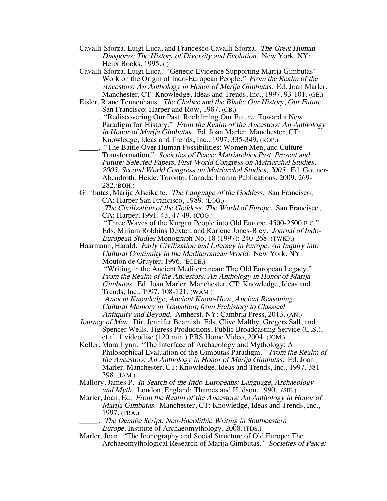- Cavalli-Sforza, Luigi Luca, and Francesco Cavalli-Sforza. The Great Human Diasporas: The History of Diversity and Evolution. New York, NY: Helix Books, 1995. (.)
- Cavalli-Sforza, Luigi Luca. "Genetic Evidence Supporting Marija Gimbutas' Work on the Origin of Indo-European People." From the Realm of the Ancestors: An Anthology in Honor of Marija Gimbutas. Ed. Joan Marler. Manchester, CT: Knowledge, Ideas and Trends, Inc., 1997. 93-101. (GE.)
- Eisler, Riane Tennenhaus. The Chalice and the Blade: Our History, Our Future. San Francisco: Harper and Row, 1987. (CB.)
- \_\_\_\_\_. "Rediscovering Our Past, Reclaiming Our Future: Toward a New Paradigm for History." From the Realm of the Ancestors: An Anthology in Honor of Marija Gimbutas. Ed. Joan Marler. Manchester, CT: Knowledge, Ideas and Trends, Inc., 1997. 335-349. (ROP.)
- \_\_\_\_\_. "The Battle Over Human Possibilities: Women Men, and Culture Transformation." Societies of Peace: Matriarchies Past, Present and Future: Selected Papers, First World Congress on Matriarchal Studies, 2003, Second World Congress on Matriarchal Studies, 2005. Ed. Göttner- Abendroth, Heide. Toronto, Canada: Inanna Publications, 2009. 269- 282.(BOH.)
- Gimbutas, Marija Alseikaite. The Language of the Goddess. San Francisco, CA: Harper San Francisco, 1989. (LOG.)
- \_\_\_\_\_. The Civilization of the Goddess: The World of Europe. San Francisco, CA: Harper, 1991. 43, 47-49. (COG.)
- \_\_\_\_\_. "Three Waves of the Kurgan People into Old Europe, 4500-2500 B.C." Eds. Miriam Robbins Dexter, and Karlene Jones-Bley. Journal of Indo-European Studies Monograph No. 18 (1997): 240-268. (TWKP.)
- Haarmann, Harald. Early Civilization and Literacy in Europe: An Inquiry into Cultural Continuity in the Mediterranean World. New York, NY: Mouton de Gruyter, 1996. (ECLE.)
- \_\_\_\_\_. "Writing in the Ancient Mediterranean: The Old European Legacy." From the Realm of the Ancestors: An Anthology in Honor of Marija Gimbutas. Ed. Joan Marler. Manchester, CT: Knowledge, Ideas and Trends, Inc., 1997. 108-121. (WAM.)
	- \_\_\_\_\_. Ancient Knowledge, Ancient Know-How, Ancient Reasoning: Cultural Memory in Transition, from Prehistory to Classical Antiquity and Beyond. Amherst, NY: Cambria Press, 2013. (AN.)
- Journey of Man. Dir. Jennifer Beamish. Eds. Clive Maltby, Gregers Sall, and Spencer Wells. Tigress Productions, Public Broadcasting Service (U.S.), et al. 1 videodisc (120 min.) PBS Home Video, 2004. (JOM.)
- Keller, Mara Lynn. "The Interface of Archaeology and Mythology: A Philosophical Evaluation of the Gimbutas Paradigm." From the Realm of the Ancestors: An Anthology in Honor of Marija Gimbutas. Ed. Joan Marler. Manchester, CT: Knowledge, Ideas and Trends, Inc., 1997. 381- 398. (IAM.)
- Mallory, James P. In Search of the Indo-Europeans: Language, Archaeology and Myth. London, England: Thames and Hudson, 1990. (SIE.)
- Marler, Joan, Ed. From the Realm of the Ancestors: An Anthology in Honor of Marija Gimbutas. Manchester, CT: Knowledge, Ideas and Trends, Inc., 1997. (FRA.)
	- \_\_\_\_\_. The Danube Script: Neo-Eneolithic Writing in Southeastern Europe. Institute of Archaeomythology, 2008. (TDS.)
- Marler, Joan. "The Iconography and Social Structure of Old Europe: The Archaeomythological Research of Marija Gimbutas." Societies of Peace: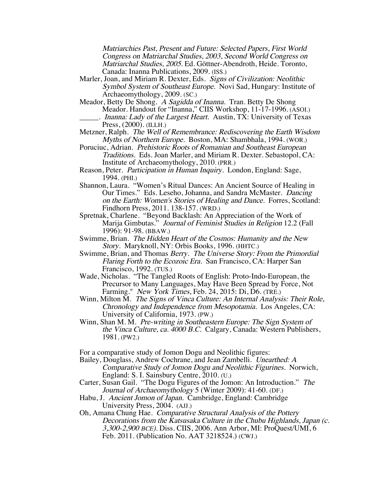Matriarchies Past, Present and Future: Selected Papers, First World Congress on Matriarchal Studies, 2003, Second World Congress on Matriarchal Studies, 2005. Ed. Göttner-Abendroth, Heide. Toronto, Canada: Inanna Publications, 2009. (ISS.)

- Marler, Joan, and Miriam R. Dexter, Eds. Signs of Civilization: Neolithic Symbol System of Southeast Europe. Novi Sad, Hungary: Institute of Archaeomythology, 2009. (SC.)
- Meador, Betty De Shong. A Sagidda of Inanna. Tran. Betty De Shong Meador. Handout for "Inanna," CIIS Workshop, 11-17-1996. (ASOI.) \_\_\_\_\_. Inanna: Lady of the Largest Heart. Austin, TX: University of Texas Press, (2000). (ILLH.)
- Metzner, Ralph. The Well of Remembrance: Rediscovering the Earth Wisdom Myths of Northern Europe. Boston, MA: Shambhala, 1994. (WOR.)
- Poruciuc, Adrian. Prehistoric Roots of Romanian and Southeast European Traditions. Eds. Joan Marler, and Miriam R. Dexter. Sebastopol, CA: Institute of Archaeomythology, 2010. (PRR.)
- Reason, Peter. Participation in Human Inquiry. London, England: Sage, 1994. (PHI.)
- Shannon, Laura. "Women's Ritual Dances: An Ancient Source of Healing in Our Times." Eds. Leseho, Johanna, and Sandra McMaster. Dancing on the Earth: Women's Stories of Healing and Dance. Forres, Scotland: Findhorn Press, 2011. 138-157. (WRD.)
- Spretnak, Charlene. "Beyond Backlash: An Appreciation of the Work of Marija Gimbutas." Journal of Feminist Studies in Religion 12.2 (Fall 1996): 91-98. (BBAW.)
- Swimme, Brian. The Hidden Heart of the Cosmos: Humanity and the New Story. Maryknoll, NY: Orbis Books, 1996. (HHTC.)
- Swimme, Brian, and Thomas Berry. The Universe Story: From the Primordial Flaring Forth to the Ecozoic Era. San Francisco, CA: Harper San Francisco, 1992. (TUS.)
- Wade, Nicholas. "The Tangled Roots of English: Proto-Indo-European, the Precursor to Many Languages, May Have Been Spread by Force, Not Farming." New York Times, Feb. 24, 2015: Di, D6. (TRE.)
- Winn, Milton M. The Signs of Vinca Culture: An Internal Analysis: Their Role, Chronology and Independence from Mesopotamia. Los Angeles, CA: University of California, 1973. (PW.)
- Winn, Shan M. M. Pre-writing in Southeastern Europe: The Sign System of the Vinca Culture, ca. 4000 B.C. Calgary, Canada: Western Publishers, 1981. (PW2.)

For a comparative study of Jomon Dogu and Neolithic figures:

- Bailey, Douglass, Andrew Cochrane, and Jean Zambelli. Unearthed: A Comparative Study of Jomon Dogu and Neolithic Figurines. Norwich, England: S. I. Sainsbury Centre, 2010. (U.)
- Carter, Susan Gail. "The Dogu Figures of the Jomon: An Introduction." The Journal of Archaeomythology 5 (Winter 2009): 41-60. (DF.)
- Habu, J. Ancient Jomon of Japan. Cambridge, England: Cambridge University Press, 2004. (AJJ.)
- Oh, Amana Chung Hae. Comparative Structural Analysis of the Pottery Decorations from the Katsusaka Culture in the Chubu Highlands, Japan (c. 3,300-2,900 BCE). Diss. CIIS, 2006. Ann Arbor, MI: ProQuest/UMI, 6 Feb. 2011. (Publication No. AAT 3218524.) (CWJ.)